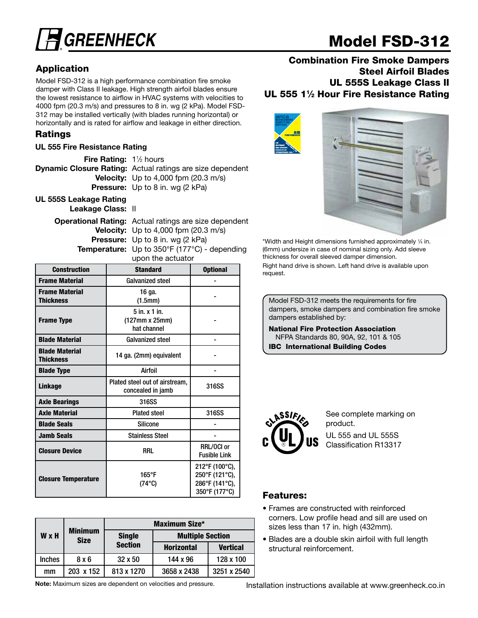

# Model FSD-312

# Application

Model FSD-312 is a high performance combination fire smoke damper with Class II leakage. High strength airfoil blades ensure the lowest resistance to airflow in HVAC systems with velocities to 4000 fpm (20.3 m/s) and pressures to 8 in. wg (2 kPa). Model FSD-312 may be installed vertically (with blades running horizontal) or horizontally and is rated for airflow and leakage in either direction.

# Ratings

## UL 555 Fire Resistance Rating

| <b>Fire Rating:</b> $1\frac{1}{2}$ hours |                                                                  |
|------------------------------------------|------------------------------------------------------------------|
|                                          | <b>Dynamic Closure Rating:</b> Actual ratings are size dependent |
|                                          | <b>Velocity:</b> Up to 4,000 fpm $(20.3 \text{ m/s})$            |
|                                          | <b>Pressure:</b> Up to 8 in. wg (2 kPa)                          |
| III, 5558 Leakage Pating                 |                                                                  |

UL 555S Leakage Rating Leakage Class: II

> Operational Rating: Actual ratings are size dependent Velocity: Up to 4,000 fpm (20.3 m/s) Pressure: Up to 8 in. wg (2 kPa) Temperature: Up to 350°F (177°C) - depending

upon the actuator

| <b>Construction</b>                       | <b>Standard</b>                                           | <b>Optional</b>                                                     |  |
|-------------------------------------------|-----------------------------------------------------------|---------------------------------------------------------------------|--|
| <b>Frame Material</b>                     | <b>Galvanized steel</b>                                   |                                                                     |  |
| <b>Frame Material</b><br><b>Thickness</b> | 16 ga.<br>(1.5mm)                                         |                                                                     |  |
| <b>Frame Type</b>                         | $5$ in. $x$ 1 in.<br>$(127mm \times 25mm)$<br>hat channel |                                                                     |  |
| <b>Blade Material</b>                     | Galvanized steel                                          |                                                                     |  |
| <b>Blade Material</b><br><b>Thickness</b> | 14 ga. (2mm) equivalent                                   |                                                                     |  |
| <b>Blade Type</b>                         | Airfoil                                                   |                                                                     |  |
| Linkage                                   | Plated steel out of airstream,<br>concealed in jamb       | 316SS                                                               |  |
| <b>Axle Bearings</b>                      | 316SS                                                     |                                                                     |  |
| <b>Axle Material</b>                      | <b>Plated steel</b>                                       | 316SS                                                               |  |
| <b>Blade Seals</b>                        | <b>Silicone</b>                                           |                                                                     |  |
| <b>Jamb Seals</b>                         | <b>Stainless Steel</b>                                    |                                                                     |  |
| <b>Closure Device</b>                     | <b>RRL</b>                                                | RRL/OCI or<br><b>Fusible Link</b>                                   |  |
| <b>Closure Temperature</b>                | $165^{\circ}F$<br>$(74^{\circ}C)$                         | 212°F (100°C),<br>250°F (121°C),<br>286°F (141°C),<br>350°F (177°C) |  |

|               | Maximum Size*                 |                |                         |                 |
|---------------|-------------------------------|----------------|-------------------------|-----------------|
| <b>W</b> x H  | <b>Minimum</b><br><b>Size</b> | <b>Single</b>  | <b>Multiple Section</b> |                 |
|               |                               | <b>Section</b> | <b>Horizontal</b>       | <b>Vertical</b> |
| <b>Inches</b> | 8x6                           | 32 x 50        | 144 x 96                | 128 x 100       |
| mm            | 203 x 152                     | 813 x 1270     | 3658 x 2438             | 3251 x 2540     |

Note: Maximum sizes are dependent on velocities and pressure.

# Combination Fire Smoke Dampers Steel Airfoil Blades UL 555S Leakage Class II UL 555 1<sup>1</sup>/<sub>2</sub> Hour Fire Resistance Rating



\*Width and Height dimensions furnished approximately 1 ⁄4 in. (6mm) undersize in case of nominal sizing only. Add sleeve thickness for overall sleeved damper dimension.

Right hand drive is shown. Left hand drive is available upon request.

Model FSD-312 meets the requirements for fire dampers, smoke dampers and combination fire smoke dampers established by:

National Fire Protection Association NFPA Standards 80, 90A, 92, 101 & 105 IBC International Building Codes



See complete marking on product. UL 555 and UL 555S

Classification R13317

# **Features:**

- Frames are constructed with reinforced corners. Low profile head and sill are used on sizes less than 17 in. high (432mm).
- Blades are a double skin airfoil with full length structural reinforcement.

Installation instructions available at www.greenheck.co.in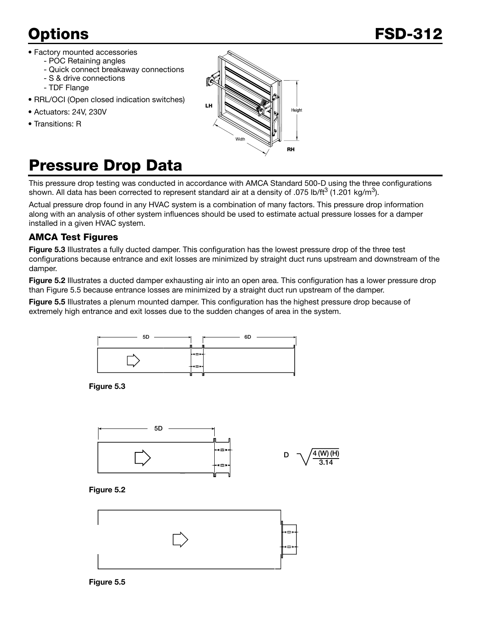- Factory mounted accessories
	- POC Retaining angles
	- Quick connect breakaway connections
	- S & drive connections - TDF Flange
- RRL/OCI (Open closed indication switches)
- Actuators: 24V, 230V
- Transitions: R



# Pressure Drop Data

This pressure drop testing was conducted in accordance with AMCA Standard 500-D using the three configurations shown. All data has been corrected to represent standard air at a density of .075 lb/ft<sup>3</sup> (1.201 kg/m<sup>3</sup>).

Actual pressure drop found in any HVAC system is a combination of many factors. This pressure drop information along with an analysis of other system influences should be used to estimate actual pressure losses for a damper installed in a given HVAC system.

# **AMCA Test Figures**

Figure 5.3 Illustrates a fully ducted damper. This configuration has the lowest pressure drop of the three test configurations because entrance and exit losses are minimized by straight duct runs upstream and downstream of the damper.

Figure 5.2 Illustrates a ducted damper exhausting air into an open area. This configuration has a lower pressure drop than Figure 5.5 because entrance losses are minimized by a straight duct run upstream of the damper.

Figure 5.5 Illustrates a plenum mounted damper. This configuration has the highest pressure drop because of extremely high entrance and exit losses due to the sudden changes of area in the system.



Figure 5.3







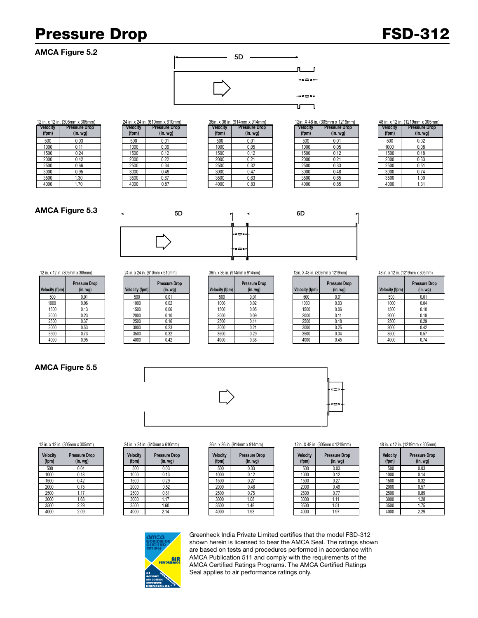# Pressure Drop FSD-312

## AMCA Figure 5.2



| 12 in. x 12 in. (305mm x 305mm) |                      |  |
|---------------------------------|----------------------|--|
| Velocity                        | <b>Pressure Drop</b> |  |
| (fpm)                           | $(in.$ wg $)$        |  |
| 500                             | 0.03                 |  |
| 1000                            | 0.11                 |  |
| 1500                            | 0.24                 |  |
| 2000                            | 0.42                 |  |
| 2500                            | 0.66                 |  |
| 3000                            | 0.95                 |  |
| 3500                            | 1.30                 |  |
| 4000                            | 1.70                 |  |

| Velocity<br>(fpm) | <b>Pressure Drop</b><br>$(in.$ wg $)$ |  |
|-------------------|---------------------------------------|--|
| 500               | 0.01                                  |  |
| 1000              | 0.06                                  |  |
| 1500              | 0.12                                  |  |
| 2000              | 0.22                                  |  |
| 2500              | 0.34                                  |  |
| 3000              | 0.49                                  |  |
| 3500              | 0.67                                  |  |
| 4000              | 0.87                                  |  |

|                  | n. x 12 in. (305mm x 305mm)     |                          | 24 in. x 24 in. (610mm x 610mm) |                          | 36in. x 36 in. (914mm x 914mm)   |                          | 12in. X 48 in. (305mm x 1219mm) | 48 in. x 12 in. (1219mm x |                      |
|------------------|---------------------------------|--------------------------|---------------------------------|--------------------------|----------------------------------|--------------------------|---------------------------------|---------------------------|----------------------|
| elocity<br>(fpm) | <b>Pressure Drop</b><br>(in.wg) | <b>Velocity</b><br>(fpm) | <b>Pressure Drop</b><br>(in.wg) | <b>Velocity</b><br>(fpm) | <b>Pressure Drop</b><br>(in. wg) | <b>Velocity</b><br>(fpm) | <b>Pressure Drop</b><br>(in.wg) | <b>Velocity</b><br>(fpm)  | Pressure<br>$(in.$ w |
| 500              | 0.03                            | 500                      | 0.01                            | 500                      | 0.01                             | 500                      | 0.01                            | 500                       | 0.02                 |
| 1000             | 0.11                            | 1000                     | 0.06                            | 1000                     | 0.05                             | 1000                     | 0.05                            | 1000                      | 0.08                 |
| 1500             | 0.24                            | 1500                     | 0.12                            | 1500                     | 0.12                             | 1500                     | 0.12                            | 1500                      | 0.18                 |
| 2000             | 0.42                            | 2000                     | 0.22                            | 2000                     | 0.21                             | 2000                     | 0.21                            | 2000                      | 0.33                 |
| 2500             | 0.66                            | 2500                     | 0.34                            | 2500                     | 0.32                             | 2500                     | 0.33                            | 2500                      | 0.51                 |
| 3000             | 0.95                            | 3000                     | 0.49                            | 3000                     | 0.47                             | 3000                     | 0.48                            | 3000                      | 0.74                 |
| 3500             | 1.30                            | 3500                     | 0.67                            | 3500                     | 0.63                             | 3500                     | 0.65                            | 3500                      | 1.00                 |
| 4000             | 1.70                            | 4000                     | 0.87                            | 4000                     | 0.83                             | 4000                     | 0.85                            | 4000                      | 1.31                 |

| Velocity<br>(fpm) | <b>Pressure Drop</b><br>$(in.$ wg $)$ |  |  |
|-------------------|---------------------------------------|--|--|
| 500               | 0.01                                  |  |  |
| 1000              | 0.05                                  |  |  |
| 1500              | 0.12                                  |  |  |
| 2000              | 0.21                                  |  |  |
| 2500              | 0.33                                  |  |  |
| 3000              | 0.48                                  |  |  |
| 3500              | 0.65                                  |  |  |
| 4000              | 0.85                                  |  |  |

|     | 8 in. x 12 in. (1219mm x 305mm) |
|-----|---------------------------------|
| ___ | ______                          |

| Velocity<br>(fpm) | <b>Pressure Drop</b><br>$(in.$ wg $)$ |
|-------------------|---------------------------------------|
| 500               | 0.02                                  |
| 1000              | 0.08                                  |
| 1500              | 0.18                                  |
| 2000              | 0.33                                  |
| 2500              | 0.51                                  |
| 3000              | 0.74                                  |
| 3500              | 1.00                                  |
| 4000              | 1.31                                  |

## AMCA Figure 5.3



| <b>Velocity (fpm)</b> | <b>Pressure Drop</b><br>$(in.$ wg $)$ |
|-----------------------|---------------------------------------|
| 500                   | 0.01                                  |
| 1000                  | 0.06                                  |
| 1500                  | 0.13                                  |
| 2000                  | 0.23                                  |
| 2500                  | 0.37                                  |
| 3000                  | 0.53                                  |
| 3500                  | 0.73                                  |
| 4000                  | 0.95                                  |

### 5D **(in. wg) Velocity (fpm) (in. wg) Velocity (fpm) Pressure Drop**  500 | 0.01 | | 500 | 0.01 | | 500 | 0.01 | | 500 | 0.01 | 0.01 | 0.01 | 0.01 | 0.01 1000 | 0.06 | 1000 | 0.02 | 1000 | 0.02 | 1000 | 0.03 | 1000 | 0.04 1500 | 0.13 | 1500 | 0.06 | 1500 | 0.05 | 1500 | 0.06 | 1500 | 0.10 2000 0.23 2000 0.10 2000 0.09 2000 0.11 2000 0.18 2500 | 0.37 | 2500 | 0.16 | 2500 | 0.14 | 2500 | 0.18 | 2500 | 0.29 3000 | 0.53 | 3000 | 0.23 | | 3000 | 0.21 | | 3000 | 0.25 | | 3000 | 0.42 3500 0.73 3500 0.32 3500 0.29 3500 0.34 3500 0.57 4000 | 0.95 | | 4000 | 0.42 | | 4000 | 0.38 | | 4000 | 0.45 | | 4000 | 0.74

| Velocity (fpm) | <b>Pressure Drop</b><br>(in.wq) | <b>Velocity (fpm)</b> |
|----------------|---------------------------------|-----------------------|
| 500            | 0.01                            | 500                   |
| 1000           | 0.02                            | 1000                  |
| 1500           | 0.05                            | 1500                  |
| 2000           | 0.09                            | 2000                  |
| 2500           | 0.14                            | 2500                  |
| 3000           | 0.21                            | 3000                  |
| 3500           | 0.29                            | 3500                  |
| <b>ANNA</b>    | U 38                            | <b>ANNA</b>           |

| Velocity (fpm) | <b>Pressure Drop</b><br>(in. <i>wg</i> ) | <b>Velocity (fpm)</b> |
|----------------|------------------------------------------|-----------------------|
| 500            | 0.01                                     | 500                   |
| 1000           | 0.03                                     | 1000                  |
| 1500           | 0.06                                     | 1500                  |
| 2000           | 0.11                                     | 2000                  |
| 2500           | 0.18                                     | 2500                  |
| 3000           | 0.25                                     | 3000                  |
| 3500           | 0.34                                     | 3500                  |
| 4000           | 0.45                                     | 4000                  |
|                |                                          |                       |

### 12 in. x 12 in. (305mm x 305mm) 24 in. x 24 in. (610mm x 610mm) 36in. x 36 in. (914mm x 914mm) 12in. X 48 in. (305mm x 1219mm) 48 in. x 12 in. (1219mm x 305mm)

| <b>Velocity (fpm)</b> | <b>Pressure Drop</b><br>$(in.$ wg $)$ |  |  |  |
|-----------------------|---------------------------------------|--|--|--|
| 500                   | 0.01                                  |  |  |  |
| 1000                  | 0.04                                  |  |  |  |
| 1500                  | 0.10                                  |  |  |  |
| 2000                  | 0.18                                  |  |  |  |
| 2500                  | 0.29                                  |  |  |  |
| 3000                  | 0.42                                  |  |  |  |
| 3500                  | 0.57                                  |  |  |  |
| 4000                  | 0.74                                  |  |  |  |

# AMCA Figure 5.5





| <b>Velocity</b><br>(fpm) |     | <b>Pressure Drop</b><br>$(in.$ wg $)$ |  |  |  |  |
|--------------------------|-----|---------------------------------------|--|--|--|--|
|                          | 500 | 0.03                                  |  |  |  |  |
| 1000                     |     | 0.14                                  |  |  |  |  |
| 1500                     |     | 0.32                                  |  |  |  |  |
| 2000                     |     | 0.57                                  |  |  |  |  |
| 2500                     |     | 0.89                                  |  |  |  |  |
| 3000                     |     | 1.28                                  |  |  |  |  |
| 3500                     |     | 1.75                                  |  |  |  |  |
| 4000                     |     | 2.29                                  |  |  |  |  |

### 12 in. x 12 in. (305mm x 305mm) 24 in. x 24 in. (610mm x 610mm) 36in. x 36 in. (914mm x 914mm) 12in. X 48 in. (305mm x 1219mm) 48 in. x 12 in. (1219mm x 305mm)

| <b>Velocity</b><br>(fpm) | <b>Pressure Drop</b><br>$(in.$ wg $)$ |
|--------------------------|---------------------------------------|
| 500                      | 0.04                                  |
| 1000                     | 0.18                                  |
| 1500                     | 0.42                                  |
| 2000                     | 0.75                                  |
| 2500                     | 1.17                                  |
| 3000                     | 1.68                                  |
| 3500                     | 2.29                                  |
| 4000                     | 2.09                                  |

| elocity<br>(fpm) | <b>Pressure Drop</b><br>$(in.$ wg $)$ |
|------------------|---------------------------------------|
| 500              | 0.03                                  |
| 1000             | 0.13                                  |
| 1500             | 0.29                                  |
| 2000             | 0.52                                  |
| 2500             | 0.81                                  |
| 3000             | 1.17                                  |
| 3500             | 1.60                                  |
| 4000             | 2.14                                  |
|                  |                                       |

| <b>Plocity</b><br>(fpm) | <b>Pressure Drop</b><br>(in. <i>wg</i> ) | <b>Velocity</b><br>(fpm) | <b>Pressure Drop</b><br>(in. <i>wg</i> ) | <b>Velocity</b><br>(fpm) | <b>Pressure Drop</b><br>(in. <i>wg</i> ) | <b>Velocity</b><br>(fpm) | <b>Pressure Drop</b><br>(in. <i>wg</i> ) | Velocity<br>(fpm) | Pressure<br>$(in.$ w |
|-------------------------|------------------------------------------|--------------------------|------------------------------------------|--------------------------|------------------------------------------|--------------------------|------------------------------------------|-------------------|----------------------|
| 500                     | 0.04                                     | 500                      | 0.03                                     | 500                      | 0.03                                     | 500                      | 0.03                                     | 500               | 0.03                 |
| 1000                    | 0.18                                     | 1000                     | 0.13                                     | 1000                     | 0.12                                     | 1000                     | 0.12                                     | 1000              | 0.14                 |
| 1500                    | 0.42                                     | 1500                     | 0.29                                     | 1500                     | 0.27                                     | 1500                     | 0.27                                     | 1500              | 0.32                 |
| 2000                    | 0.75                                     | 2000                     | 0.52                                     | 2000                     | 0.48                                     | 2000                     | 0.49                                     | 2000              | 0.57                 |
| 2500                    |                                          | 2500                     | 0.81                                     | 2500                     | 0.75                                     | 2500                     |                                          | 2500              | 0.89                 |
| 3000                    | .68                                      | 3000                     | .17                                      | 3000                     | 1.08                                     | 3000                     |                                          | 3000              | 1.28                 |
| 3500                    | 2.29                                     | 3500                     | 1.60                                     | 3500                     | 1.48                                     | 3500                     | .51                                      | 3500              | 1.75                 |
| 4000                    | 2.09                                     | 4000                     | 2.14                                     | 4000                     | 1.93                                     | 4000                     | 1.97                                     | 4000              | 2.29                 |

| <b>Velocity</b><br>(fpm) | <b>Pressure Drop</b><br>$(in.$ wg $)$ |
|--------------------------|---------------------------------------|
| 500                      | 0.03                                  |
| 1000                     | 0.12                                  |
| 1500                     | 0.27                                  |
| 2000                     | 0.49                                  |
| 2500                     | 0.77                                  |
| 3000                     | 1.11                                  |
| 3500                     | 1.51                                  |
| 4000                     | 1.97                                  |



Greenheck India Private Limited certifies that the model FSD-312 shown herein is licensed to bear the AMCA Seal. The ratings shown are based on tests and procedures performed in accordance with AMCA Publication 511 and comply with the requirements of the AMCA Certified Ratings Programs. The AMCA Certified Ratings Seal applies to air performance ratings only.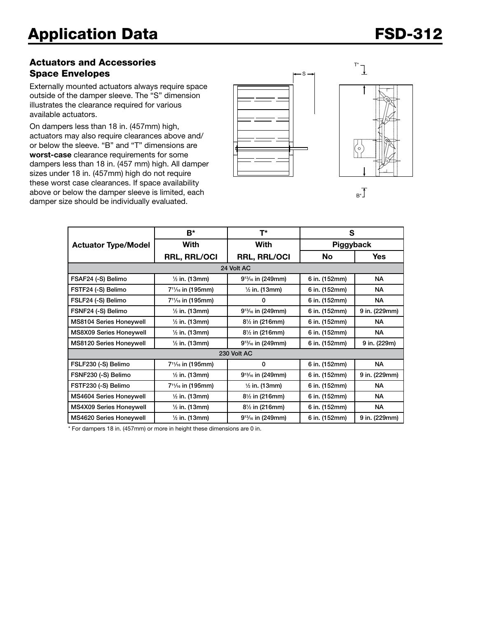# Actuators and Accessories Space Envelopes

Externally mounted actuators always require space outside of the damper sleeve. The "S" dimension illustrates the clearance required for various available actuators.

On dampers less than 18 in. (457mm) high, actuators may also require clearances above and/ or below the sleeve. "B" and "T" dimensions are worst-case clearance requirements for some dampers less than 18 in. (457 mm) high. All damper sizes under 18 in. (457mm) high do not require these worst case clearances. If space availability above or below the damper sleeve is limited, each damper size should be individually evaluated.







|                            | $B^*$                                      | T*                        | S             |               |  |  |  |  |  |
|----------------------------|--------------------------------------------|---------------------------|---------------|---------------|--|--|--|--|--|
| <b>Actuator Type/Model</b> | With                                       | With                      | Piggyback     |               |  |  |  |  |  |
|                            | <b>RRL, RRL/OCI</b>                        | <b>RRL, RRL/OCI</b>       | No            | <b>Yes</b>    |  |  |  |  |  |
| 24 Volt AC                 |                                            |                           |               |               |  |  |  |  |  |
| FSAF24 (-S) Belimo         | $\frac{1}{2}$ in. (13mm)                   | $9^{13}/_{16}$ in (249mm) | 6 in. (152mm) | NA            |  |  |  |  |  |
| FSTF24 (-S) Belimo         | 7 <sup>11</sup> / <sub>16</sub> in (195mm) | $\frac{1}{2}$ in. (13mm)  | 6 in. (152mm) | <b>NA</b>     |  |  |  |  |  |
| FSLF24 (-S) Belimo         | 7 <sup>11</sup> / <sub>16</sub> in (195mm) | 0                         | 6 in. (152mm) | <b>NA</b>     |  |  |  |  |  |
| FSNF24 (-S) Belimo         | $\frac{1}{2}$ in. (13mm)                   | $9^{13}/_{16}$ in (249mm) | 6 in. (152mm) | 9 in. (229mm) |  |  |  |  |  |
| MS8104 Series Honeywell    | $\frac{1}{2}$ in. (13mm)                   | $8\frac{1}{2}$ in (216mm) | 6 in. (152mm) | <b>NA</b>     |  |  |  |  |  |
| MS8X09 Series Honeywell    | $\frac{1}{2}$ in. (13mm)                   | 81/2 in (216mm)           | 6 in. (152mm) | <b>NA</b>     |  |  |  |  |  |
| MS8120 Series Honeywell    | $\frac{1}{2}$ in. (13mm)                   | $9^{13}/_{16}$ in (249mm) | 6 in. (152mm) | 9 in. (229m)  |  |  |  |  |  |
| 230 Volt AC                |                                            |                           |               |               |  |  |  |  |  |
| FSLF230 (-S) Belimo        | 7 <sup>11</sup> / <sub>16</sub> in (195mm) | 0                         | 6 in. (152mm) | <b>NA</b>     |  |  |  |  |  |
| FSNF230 (-S) Belimo        | $\frac{1}{2}$ in. (13mm)                   | $9^{13}/_{16}$ in (249mm) | 6 in. (152mm) | 9 in. (229mm) |  |  |  |  |  |
| FSTF230 (-S) Belimo        | 7 <sup>11</sup> / <sub>16</sub> in (195mm) | $\frac{1}{2}$ in. (13mm)  | 6 in. (152mm) | <b>NA</b>     |  |  |  |  |  |
| MS4604 Series Honeywell    | $\frac{1}{2}$ in. (13mm)                   | $8\frac{1}{2}$ in (216mm) | 6 in. (152mm) | <b>NA</b>     |  |  |  |  |  |
| MS4X09 Series Honeywell    | $\frac{1}{2}$ in. (13mm)                   | $8\frac{1}{2}$ in (216mm) | 6 in. (152mm) | <b>NA</b>     |  |  |  |  |  |
| MS4620 Series Honeywell    | $\frac{1}{2}$ in. (13mm)                   | $9^{13}/_{16}$ in (249mm) | 6 in. (152mm) | 9 in. (229mm) |  |  |  |  |  |

\* For dampers 18 in. (457mm) or more in height these dimensions are 0 in.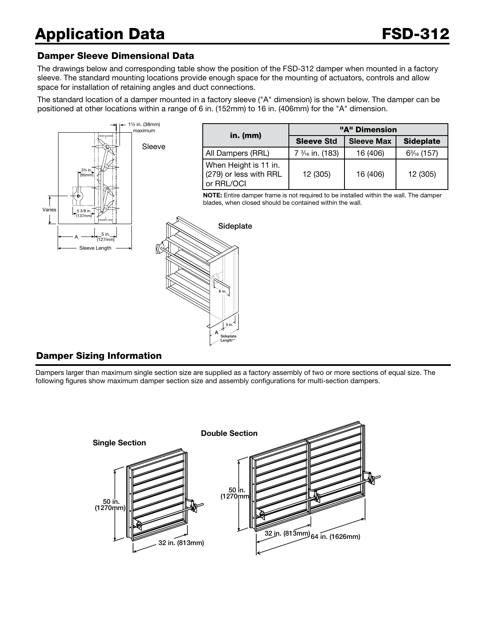# Application Data **FSD-312**

# Damper Sleeve Dimensional Data

The drawings below and corresponding table show the position of the FSD-312 damper when mounted in a factory sleeve. The standard mounting locations provide enough space for the mounting of actuators, controls and allow space for installation of retaining angles and duct connections.

The standard location of a damper mounted in a factory sleeve ("A" dimension) is shown below. The damper can be positioned at other locations within a range of 6 in. (152mm) to 16 in. (406mm) for the "A" dimension.



# Damper Sizing Information

Dampers larger than maximum single section size are supplied as a factory assembly of two or more sections of equal size. The following figures show maximum damper section size and assembly configurations for multi-section dampers.